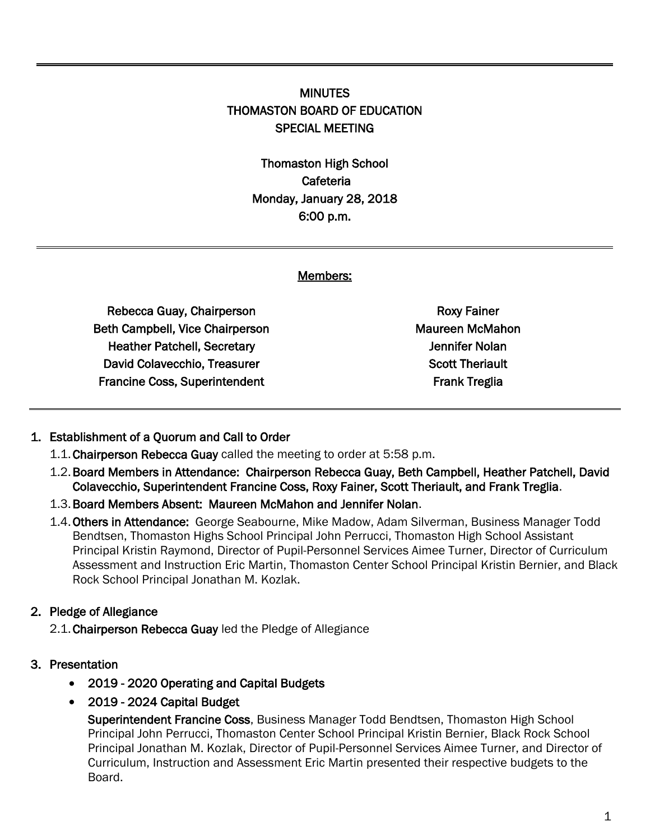# **MINUTES** THOMASTON BOARD OF EDUCATION SPECIAL MEETING

Thomaston High School Cafeteria Monday, January 28, 2018 6:00 p.m.

#### Members:

Rebecca Guay, Chairperson Beth Campbell, Vice Chairperson Heather Patchell, Secretary David Colavecchio, Treasurer Francine Coss, Superintendent

Roxy Fainer Maureen McMahon Jennifer Nolan Scott Theriault Frank Treglia

#### 1. Establishment of a Quorum and Call to Order

- 1.1.Chairperson Rebecca Guay called the meeting to order at 5:58 p.m.
- 1.2.Board Members in Attendance: Chairperson Rebecca Guay, Beth Campbell, Heather Patchell, David Colavecchio, Superintendent Francine Coss, Roxy Fainer, Scott Theriault, and Frank Treglia.
- 1.3.Board Members Absent: Maureen McMahon and Jennifer Nolan.
- 1.4. Others in Attendance: George Seabourne, Mike Madow, Adam Silverman, Business Manager Todd Bendtsen, Thomaston Highs School Principal John Perrucci, Thomaston High School Assistant Principal Kristin Raymond, Director of Pupil-Personnel Services Aimee Turner, Director of Curriculum Assessment and Instruction Eric Martin, Thomaston Center School Principal Kristin Bernier, and Black Rock School Principal Jonathan M. Kozlak.

#### 2. Pledge of Allegiance

2.1.Chairperson Rebecca Guay led the Pledge of Allegiance

- 3. Presentation
	- 2019 2020 Operating and Capital Budgets
	- 2019 2024 Capital Budget

Superintendent Francine Coss, Business Manager Todd Bendtsen, Thomaston High School Principal John Perrucci, Thomaston Center School Principal Kristin Bernier, Black Rock School Principal Jonathan M. Kozlak, Director of Pupil-Personnel Services Aimee Turner, and Director of Curriculum, Instruction and Assessment Eric Martin presented their respective budgets to the Board.